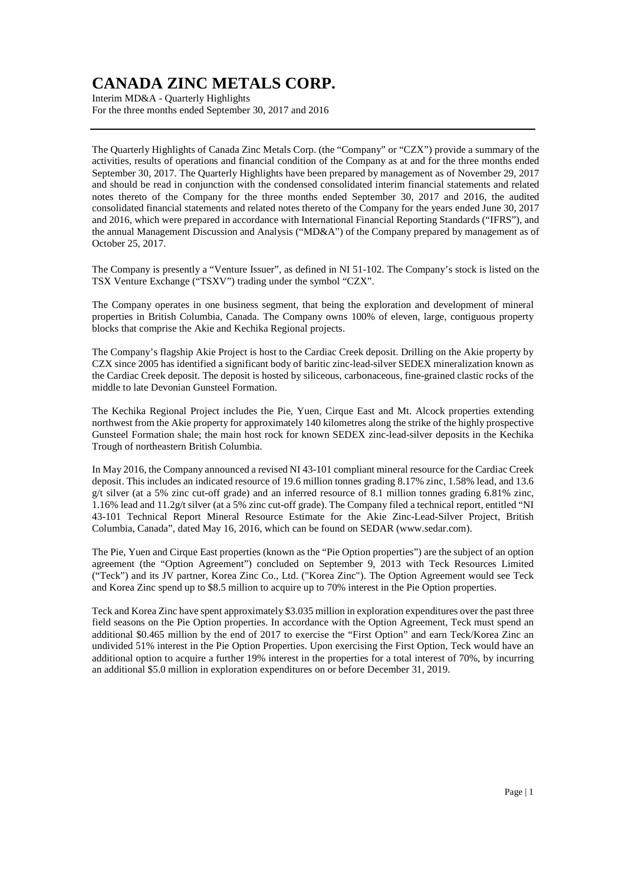Interim MD&A - Quarterly Highlights For the three months ended September 30, 2017 and 2016

The Quarterly Highlights of Canada Zinc Metals Corp. (the "Company" or "CZX") provide a summary of the activities, results of operations and financial condition of the Company as at and for the three months ended September 30, 2017. The Quarterly Highlights have been prepared by management as of November 29, 2017 and should be read in conjunction with the condensed consolidated interim financial statements and related notes thereto of the Company for the three months ended September 30, 2017 and 2016, the audited consolidated financial statements and related notes thereto of the Company for the years ended June 30, 2017 and 2016, which were prepared in accordance with International Financial Reporting Standards ("IFRS"), and the annual Management Discussion and Analysis ("MD&A") of the Company prepared by management as of October 25, 2017.

The Company is presently a "Venture Issuer", as defined in NI 51-102. The Company's stock is listed on the TSX Venture Exchange ("TSXV") trading under the symbol "CZX".

The Company operates in one business segment, that being the exploration and development of mineral properties in British Columbia, Canada. The Company owns 100% of eleven, large, contiguous property blocks that comprise the Akie and Kechika Regional projects.

The Company's flagship Akie Project is host to the Cardiac Creek deposit. Drilling on the Akie property by CZX since 2005 has identified a significant body of baritic zinc-lead-silver SEDEX mineralization known as the Cardiac Creek deposit. The deposit is hosted by siliceous, carbonaceous, fine-grained clastic rocks of the middle to late Devonian Gunsteel Formation.

The Kechika Regional Project includes the Pie, Yuen, Cirque East and Mt. Alcock properties extending northwest from the Akie property for approximately 140 kilometres along the strike of the highly prospective Gunsteel Formation shale; the main host rock for known SEDEX zinc-lead-silver deposits in the Kechika Trough of northeastern British Columbia.

In May 2016, the Company announced a revised NI 43-101 compliant mineral resource for the Cardiac Creek deposit. This includes an indicated resource of 19.6 million tonnes grading 8.17% zinc, 1.58% lead, and 13.6 g/t silver (at a 5% zinc cut-off grade) and an inferred resource of 8.1 million tonnes grading 6.81% zinc, 1.16% lead and 11.2g/t silver (at a 5% zinc cut-off grade). The Company filed a technical report, entitled "NI 43-101 Technical Report Mineral Resource Estimate for the Akie Zinc-Lead-Silver Project, British Columbia, Canada", dated May 16, 2016, which can be found on SEDAR (www.sedar.com).

The Pie, Yuen and Cirque East properties (known as the "Pie Option properties") are the subject of an option agreement (the "Option Agreement") concluded on September 9, 2013 with Teck Resources Limited ("Teck") and its JV partner, Korea Zinc Co., Ltd. ("Korea Zinc"). The Option Agreement would see Teck and Korea Zinc spend up to \$8.5 million to acquire up to 70% interest in the Pie Option properties.

Teck and Korea Zinc have spent approximately \$3.035 million in exploration expenditures over the past three field seasons on the Pie Option properties. In accordance with the Option Agreement, Teck must spend an additional \$0.465 million by the end of 2017 to exercise the "First Option" and earn Teck/Korea Zinc an undivided 51% interest in the Pie Option Properties. Upon exercising the First Option, Teck would have an additional option to acquire a further 19% interest in the properties for a total interest of 70%, by incurring an additional \$5.0 million in exploration expenditures on or before December 31, 2019.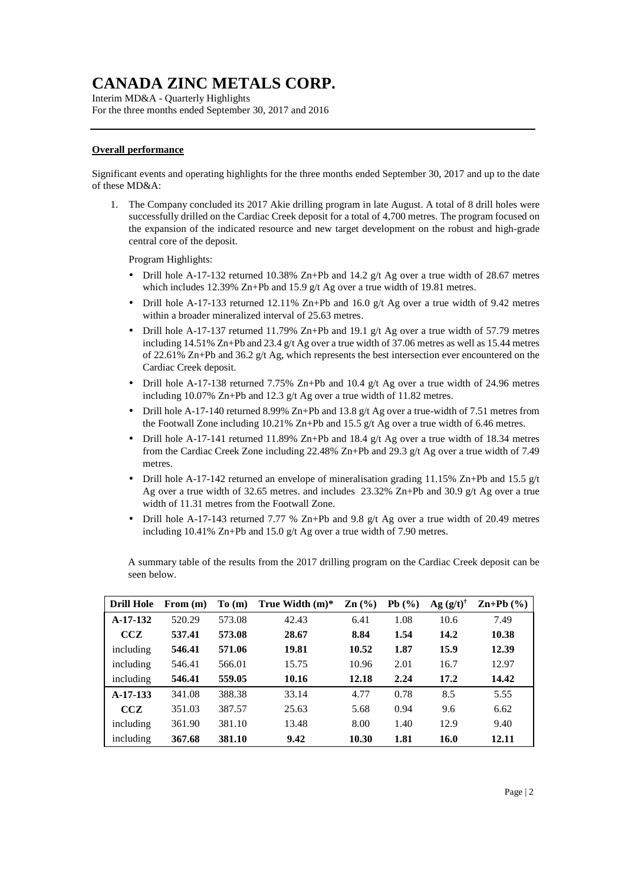Interim MD&A - Quarterly Highlights For the three months ended September 30, 2017 and 2016

### **Overall performance**

Significant events and operating highlights for the three months ended September 30, 2017 and up to the date of these MD&A:

1. The Company concluded its 2017 Akie drilling program in late August. A total of 8 drill holes were successfully drilled on the Cardiac Creek deposit for a total of 4,700 metres. The program focused on the expansion of the indicated resource and new target development on the robust and high-grade central core of the deposit.

Program Highlights:

- Drill hole A-17-132 returned 10.38% Zn+Pb and 14.2  $g/t$  Ag over a true width of 28.67 metres which includes 12.39% Zn+Pb and 15.9 g/t Ag over a true width of 19.81 metres.
- Drill hole A-17-133 returned 12.11% Zn+Pb and 16.0 g/t Ag over a true width of 9.42 metres within a broader mineralized interval of 25.63 metres.
- Drill hole A-17-137 returned 11.79% Zn+Pb and 19.1 g/t Ag over a true width of 57.79 metres including 14.51% Zn+Pb and 23.4 g/t Ag over a true width of 37.06 metres as well as 15.44 metres of 22.61% Zn+Pb and 36.2 g/t Ag, which represents the best intersection ever encountered on the Cardiac Creek deposit.
- Drill hole A-17-138 returned 7.75% Zn+Pb and 10.4 g/t Ag over a true width of 24.96 metres including 10.07% Zn+Pb and 12.3 g/t Ag over a true width of 11.82 metres.
- Drill hole A-17-140 returned 8.99% Zn+Pb and 13.8 g/t Ag over a true-width of 7.51 metres from the Footwall Zone including 10.21% Zn+Pb and 15.5 g/t Ag over a true width of 6.46 metres.
- Drill hole A-17-141 returned 11.89% Zn+Pb and 18.4  $g/t$  Ag over a true width of 18.34 metres from the Cardiac Creek Zone including 22.48% Zn+Pb and 29.3 g/t Ag over a true width of 7.49 metres.
- Drill hole A-17-142 returned an envelope of mineralisation grading 11.15% Zn+Pb and 15.5  $g/t$ Ag over a true width of 32.65 metres. and includes 23.32% Zn+Pb and 30.9 g/t Ag over a true width of 11.31 metres from the Footwall Zone.
- Drill hole A-17-143 returned 7.77 % Zn+Pb and 9.8 g/t Ag over a true width of 20.49 metres including 10.41% Zn+Pb and 15.0 g/t Ag over a true width of 7.90 metres.

A summary table of the results from the 2017 drilling program on the Cardiac Creek deposit can be seen below.

| <b>Drill Hole</b> | From $(m)$ | To(m)  | True Width $(m)^*$ | $\mathbf{Zn}$ (%) | Pb(%) | $Ag (g/t)^{\dagger}$ | $\mathbf{Zn+Pb}$ (%) |
|-------------------|------------|--------|--------------------|-------------------|-------|----------------------|----------------------|
| A-17-132          | 520.29     | 573.08 | 42.43              | 6.41              | 1.08  | 10.6                 | 7.49                 |
| <b>CCZ</b>        | 537.41     | 573.08 | 28.67              | 8.84              | 1.54  | 14.2                 | 10.38                |
| including         | 546.41     | 571.06 | 19.81              | 10.52             | 1.87  | 15.9                 | 12.39                |
| including         | 546.41     | 566.01 | 15.75              | 10.96             | 2.01  | 16.7                 | 12.97                |
| including         | 546.41     | 559.05 | 10.16              | 12.18             | 2.24  | 17.2                 | 14.42                |
| $A-17-133$        | 341.08     | 388.38 | 33.14              | 4.77              | 0.78  | 8.5                  | 5.55                 |
| <b>CCZ</b>        | 351.03     | 387.57 | 25.63              | 5.68              | 0.94  | 9.6                  | 6.62                 |
| including         | 361.90     | 381.10 | 13.48              | 8.00              | 1.40  | 12.9                 | 9.40                 |
| including         | 367.68     | 381.10 | 9.42               | 10.30             | 1.81  | 16.0                 | 12.11                |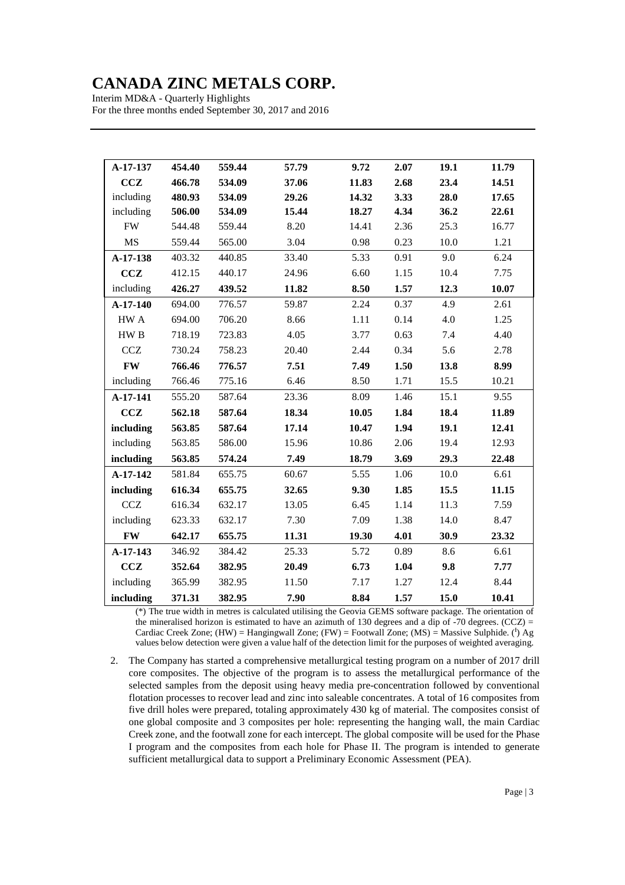Interim MD&A - Quarterly Highlights For the three months ended September 30, 2017 and 2016

| A-17-137        | 454.40 | 559.44 | 57.79 | 9.72  | 2.07 | 19.1 | 11.79 |
|-----------------|--------|--------|-------|-------|------|------|-------|
| CCZ             | 466.78 | 534.09 | 37.06 | 11.83 | 2.68 | 23.4 | 14.51 |
| including       | 480.93 | 534.09 | 29.26 | 14.32 | 3.33 | 28.0 | 17.65 |
| including       | 506.00 | 534.09 | 15.44 | 18.27 | 4.34 | 36.2 | 22.61 |
| <b>FW</b>       | 544.48 | 559.44 | 8.20  | 14.41 | 2.36 | 25.3 | 16.77 |
| <b>MS</b>       | 559.44 | 565.00 | 3.04  | 0.98  | 0.23 | 10.0 | 1.21  |
| A-17-138        | 403.32 | 440.85 | 33.40 | 5.33  | 0.91 | 9.0  | 6.24  |
| <b>CCZ</b>      | 412.15 | 440.17 | 24.96 | 6.60  | 1.15 | 10.4 | 7.75  |
| including       | 426.27 | 439.52 | 11.82 | 8.50  | 1.57 | 12.3 | 10.07 |
| A-17-140        | 694.00 | 776.57 | 59.87 | 2.24  | 0.37 | 4.9  | 2.61  |
| HW A            | 694.00 | 706.20 | 8.66  | 1.11  | 0.14 | 4.0  | 1.25  |
| HW <sub>B</sub> | 718.19 | 723.83 | 4.05  | 3.77  | 0.63 | 7.4  | 4.40  |
| <b>CCZ</b>      | 730.24 | 758.23 | 20.40 | 2.44  | 0.34 | 5.6  | 2.78  |
| <b>FW</b>       | 766.46 | 776.57 | 7.51  | 7.49  | 1.50 | 13.8 | 8.99  |
| including       | 766.46 | 775.16 | 6.46  | 8.50  | 1.71 | 15.5 | 10.21 |
| A-17-141        | 555.20 | 587.64 | 23.36 | 8.09  | 1.46 | 15.1 | 9.55  |
| CCZ             | 562.18 | 587.64 | 18.34 | 10.05 | 1.84 | 18.4 | 11.89 |
| including       | 563.85 | 587.64 | 17.14 | 10.47 | 1.94 | 19.1 | 12.41 |
| including       | 563.85 | 586.00 | 15.96 | 10.86 | 2.06 | 19.4 | 12.93 |
| including       | 563.85 | 574.24 | 7.49  | 18.79 | 3.69 | 29.3 | 22.48 |
| A-17-142        | 581.84 | 655.75 | 60.67 | 5.55  | 1.06 | 10.0 | 6.61  |
| including       | 616.34 | 655.75 | 32.65 | 9.30  | 1.85 | 15.5 | 11.15 |
| CCZ             | 616.34 | 632.17 | 13.05 | 6.45  | 1.14 | 11.3 | 7.59  |
| including       | 623.33 | 632.17 | 7.30  | 7.09  | 1.38 | 14.0 | 8.47  |
| <b>FW</b>       | 642.17 | 655.75 | 11.31 | 19.30 | 4.01 | 30.9 | 23.32 |
| A-17-143        | 346.92 | 384.42 | 25.33 | 5.72  | 0.89 | 8.6  | 6.61  |
| CCZ             | 352.64 | 382.95 | 20.49 | 6.73  | 1.04 | 9.8  | 7.77  |
| including       | 365.99 | 382.95 | 11.50 | 7.17  | 1.27 | 12.4 | 8.44  |
| including       | 371.31 | 382.95 | 7.90  | 8.84  | 1.57 | 15.0 | 10.41 |

(\*) The true width in metres is calculated utilising the Geovia GEMS software package. The orientation of the mineralised horizon is estimated to have an azimuth of 130 degrees and a dip of  $-70$  degrees. (CCZ) = Cardiac Creek Zone;  $(HW) =$  Hangingwall Zone;  $(FW) =$  Footwall Zone;  $(MS) =$  Massive Sulphide. (<sup>†</sup>) Ag values below detection were given a value half of the detection limit for the purposes of weighted averaging.

2. The Company has started a comprehensive metallurgical testing program on a number of 2017 drill core composites. The objective of the program is to assess the metallurgical performance of the selected samples from the deposit using heavy media pre-concentration followed by conventional flotation processes to recover lead and zinc into saleable concentrates. A total of 16 composites from five drill holes were prepared, totaling approximately 430 kg of material. The composites consist of one global composite and 3 composites per hole: representing the hanging wall, the main Cardiac Creek zone, and the footwall zone for each intercept. The global composite will be used for the Phase I program and the composites from each hole for Phase II. The program is intended to generate sufficient metallurgical data to support a Preliminary Economic Assessment (PEA).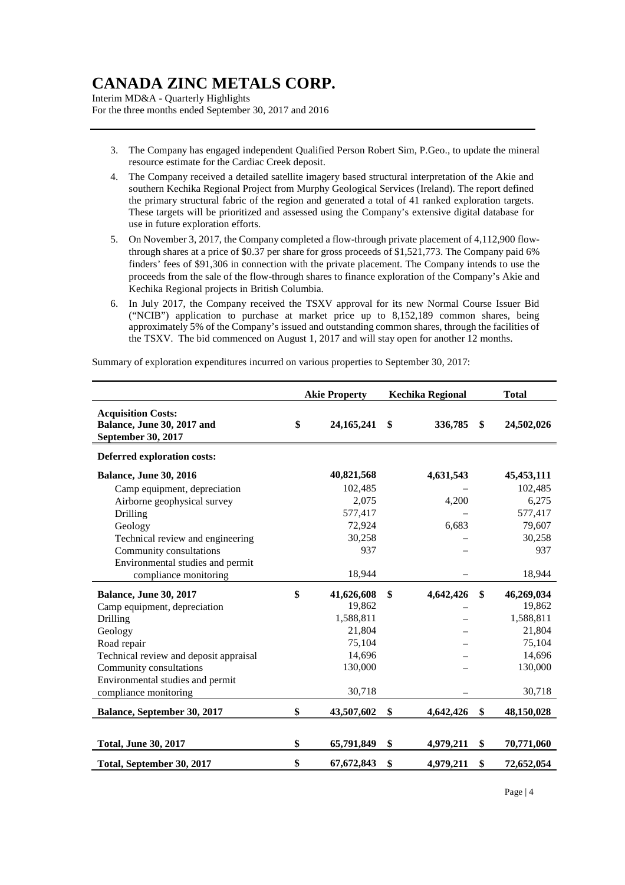Interim MD&A - Quarterly Highlights For the three months ended September 30, 2017 and 2016

- 3. The Company has engaged independent Qualified Person Robert Sim, P.Geo., to update the mineral resource estimate for the Cardiac Creek deposit.
- 4. The Company received a detailed satellite imagery based structural interpretation of the Akie and southern Kechika Regional Project from Murphy Geological Services (Ireland). The report defined the primary structural fabric of the region and generated a total of 41 ranked exploration targets. These targets will be prioritized and assessed using the Company's extensive digital database for use in future exploration efforts.
- 5. On November 3, 2017, the Company completed a flow-through private placement of 4,112,900 flowthrough shares at a price of \$0.37 per share for gross proceeds of \$1,521,773. The Company paid 6% finders' fees of \$91,306 in connection with the private placement. The Company intends to use the proceeds from the sale of the flow-through shares to finance exploration of the Company's Akie and Kechika Regional projects in British Columbia.
- 6. In July 2017, the Company received the TSXV approval for its new Normal Course Issuer Bid ("NCIB") application to purchase at market price up to 8,152,189 common shares, being approximately 5% of the Company's issued and outstanding common shares, through the facilities of the TSXV. The bid commenced on August 1, 2017 and will stay open for another 12 months.

Summary of exploration expenditures incurred on various properties to September 30, 2017:

|                                                                               | <b>Akie Property</b> | <b>Kechika Regional</b> | <b>Total</b>     |
|-------------------------------------------------------------------------------|----------------------|-------------------------|------------------|
| <b>Acquisition Costs:</b><br>Balance, June 30, 2017 and<br>September 30, 2017 | \$<br>24, 165, 241   | \$<br>336,785           | \$<br>24,502,026 |
| <b>Deferred exploration costs:</b>                                            |                      |                         |                  |
| <b>Balance, June 30, 2016</b>                                                 | 40,821,568           | 4,631,543               | 45, 453, 111     |
| Camp equipment, depreciation                                                  | 102,485              |                         | 102,485          |
| Airborne geophysical survey                                                   | 2,075                | 4,200                   | 6,275            |
| Drilling                                                                      | 577,417              |                         | 577,417          |
| Geology                                                                       | 72,924               | 6,683                   | 79,607           |
| Technical review and engineering                                              | 30,258               |                         | 30,258           |
| Community consultations                                                       | 937                  |                         | 937              |
| Environmental studies and permit                                              |                      |                         |                  |
| compliance monitoring                                                         | 18,944               |                         | 18,944           |
| <b>Balance, June 30, 2017</b>                                                 | \$<br>41,626,608     | \$<br>4,642,426         | \$<br>46,269,034 |
| Camp equipment, depreciation                                                  | 19,862               |                         | 19,862           |
| Drilling                                                                      | 1,588,811            |                         | 1,588,811        |
| Geology                                                                       | 21,804               |                         | 21,804           |
| Road repair                                                                   | 75,104               |                         | 75,104           |
| Technical review and deposit appraisal                                        | 14,696               |                         | 14,696           |
| Community consultations                                                       | 130,000              |                         | 130,000          |
| Environmental studies and permit                                              |                      |                         |                  |
| compliance monitoring                                                         | 30,718               |                         | 30,718           |
| Balance, September 30, 2017                                                   | \$<br>43,507,602     | \$<br>4,642,426         | \$<br>48,150,028 |
|                                                                               |                      |                         |                  |
| <b>Total, June 30, 2017</b>                                                   | \$<br>65,791,849     | \$<br>4,979,211         | \$<br>70,771,060 |
| Total, September 30, 2017                                                     | \$<br>67,672,843     | \$<br>4,979,211         | \$<br>72,652,054 |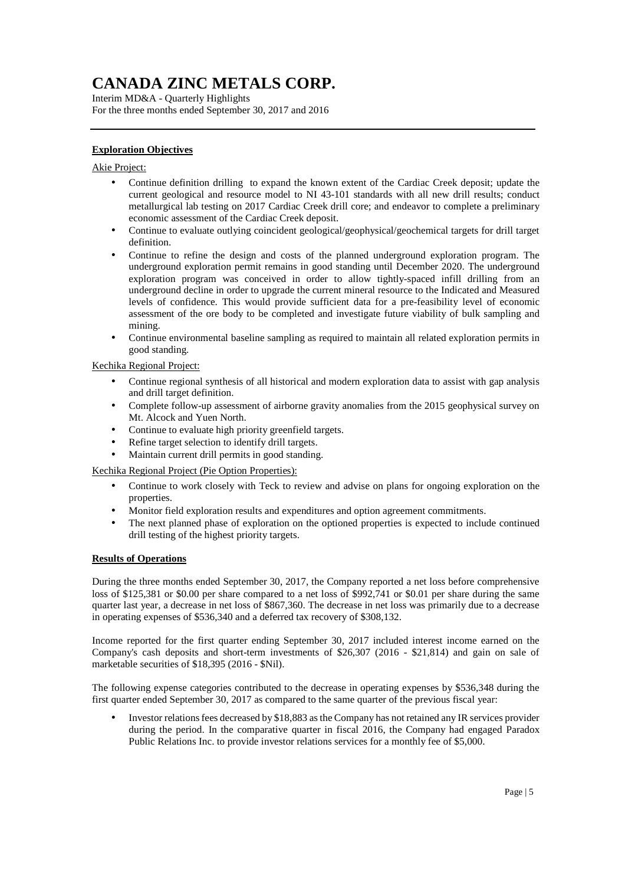Interim MD&A - Quarterly Highlights For the three months ended September 30, 2017 and 2016

### **Exploration Objectives**

### Akie Project:

- Continue definition drilling to expand the known extent of the Cardiac Creek deposit; update the current geological and resource model to NI 43-101 standards with all new drill results; conduct metallurgical lab testing on 2017 Cardiac Creek drill core; and endeavor to complete a preliminary economic assessment of the Cardiac Creek deposit.
- Continue to evaluate outlying coincident geological/geophysical/geochemical targets for drill target definition.
- Continue to refine the design and costs of the planned underground exploration program. The underground exploration permit remains in good standing until December 2020. The underground exploration program was conceived in order to allow tightly-spaced infill drilling from an underground decline in order to upgrade the current mineral resource to the Indicated and Measured levels of confidence. This would provide sufficient data for a pre-feasibility level of economic assessment of the ore body to be completed and investigate future viability of bulk sampling and mining.
- Continue environmental baseline sampling as required to maintain all related exploration permits in good standing.

### Kechika Regional Project:

- Continue regional synthesis of all historical and modern exploration data to assist with gap analysis and drill target definition.
- Complete follow-up assessment of airborne gravity anomalies from the 2015 geophysical survey on Mt. Alcock and Yuen North.
- Continue to evaluate high priority greenfield targets.
- Refine target selection to identify drill targets.
- Maintain current drill permits in good standing.

Kechika Regional Project (Pie Option Properties):

- Continue to work closely with Teck to review and advise on plans for ongoing exploration on the properties.
- Monitor field exploration results and expenditures and option agreement commitments.
- The next planned phase of exploration on the optioned properties is expected to include continued drill testing of the highest priority targets.

#### **Results of Operations**

During the three months ended September 30, 2017, the Company reported a net loss before comprehensive loss of \$125,381 or \$0.00 per share compared to a net loss of \$992,741 or \$0.01 per share during the same quarter last year, a decrease in net loss of \$867,360. The decrease in net loss was primarily due to a decrease in operating expenses of \$536,340 and a deferred tax recovery of \$308,132.

Income reported for the first quarter ending September 30, 2017 included interest income earned on the Company's cash deposits and short-term investments of \$26,307 (2016 - \$21,814) and gain on sale of marketable securities of \$18,395 (2016 - \$Nil).

The following expense categories contributed to the decrease in operating expenses by \$536,348 during the first quarter ended September 30, 2017 as compared to the same quarter of the previous fiscal year:

• Investor relations fees decreased by \$18,883 as the Company has not retained any IR services provider during the period. In the comparative quarter in fiscal 2016, the Company had engaged Paradox Public Relations Inc. to provide investor relations services for a monthly fee of \$5,000.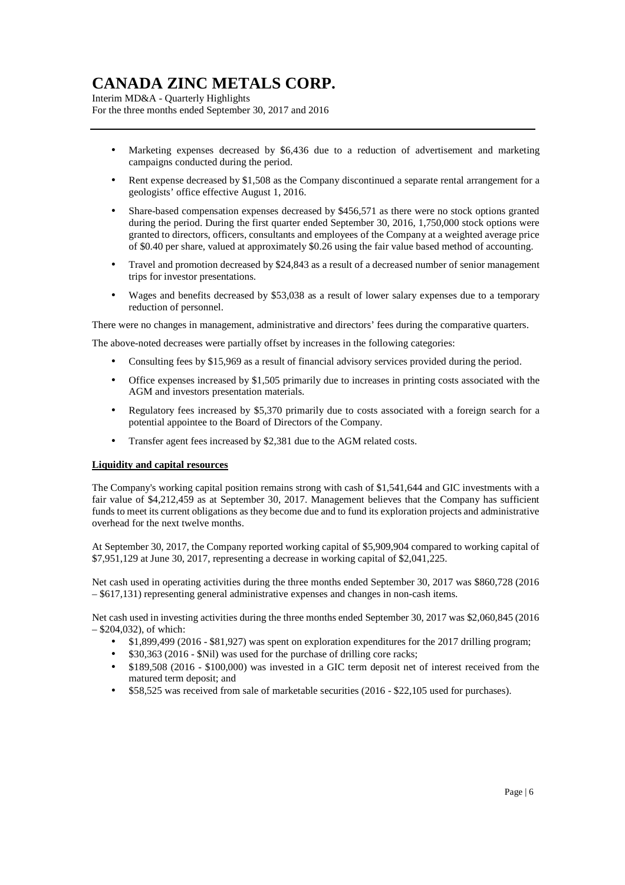Interim MD&A - Quarterly Highlights For the three months ended September 30, 2017 and 2016

- Marketing expenses decreased by \$6,436 due to a reduction of advertisement and marketing campaigns conducted during the period.
- Rent expense decreased by \$1,508 as the Company discontinued a separate rental arrangement for a geologists' office effective August 1, 2016.
- Share-based compensation expenses decreased by \$456,571 as there were no stock options granted during the period. During the first quarter ended September 30, 2016, 1,750,000 stock options were granted to directors, officers, consultants and employees of the Company at a weighted average price of \$0.40 per share, valued at approximately \$0.26 using the fair value based method of accounting.
- Travel and promotion decreased by \$24,843 as a result of a decreased number of senior management trips for investor presentations.
- Wages and benefits decreased by \$53,038 as a result of lower salary expenses due to a temporary reduction of personnel.

There were no changes in management, administrative and directors' fees during the comparative quarters.

The above-noted decreases were partially offset by increases in the following categories:

- Consulting fees by \$15,969 as a result of financial advisory services provided during the period.
- Office expenses increased by \$1,505 primarily due to increases in printing costs associated with the AGM and investors presentation materials.
- Regulatory fees increased by \$5,370 primarily due to costs associated with a foreign search for a potential appointee to the Board of Directors of the Company.
- Transfer agent fees increased by \$2,381 due to the AGM related costs.

#### **Liquidity and capital resources**

The Company's working capital position remains strong with cash of \$1,541,644 and GIC investments with a fair value of \$4,212,459 as at September 30, 2017. Management believes that the Company has sufficient funds to meet its current obligations as they become due and to fund its exploration projects and administrative overhead for the next twelve months.

At September 30, 2017, the Company reported working capital of \$5,909,904 compared to working capital of \$7,951,129 at June 30, 2017, representing a decrease in working capital of \$2,041,225.

Net cash used in operating activities during the three months ended September 30, 2017 was \$860,728 (2016 – \$617,131) representing general administrative expenses and changes in non-cash items.

Net cash used in investing activities during the three months ended September 30, 2017 was \$2,060,845 (2016 – \$204,032), of which:

- \$1,899,499 (2016 \$81,927) was spent on exploration expenditures for the 2017 drilling program;
- \$30,363 (2016 \$Nil) was used for the purchase of drilling core racks;
- \$189,508 (2016 \$100,000) was invested in a GIC term deposit net of interest received from the matured term deposit; and
- \$58,525 was received from sale of marketable securities (2016 \$22,105 used for purchases).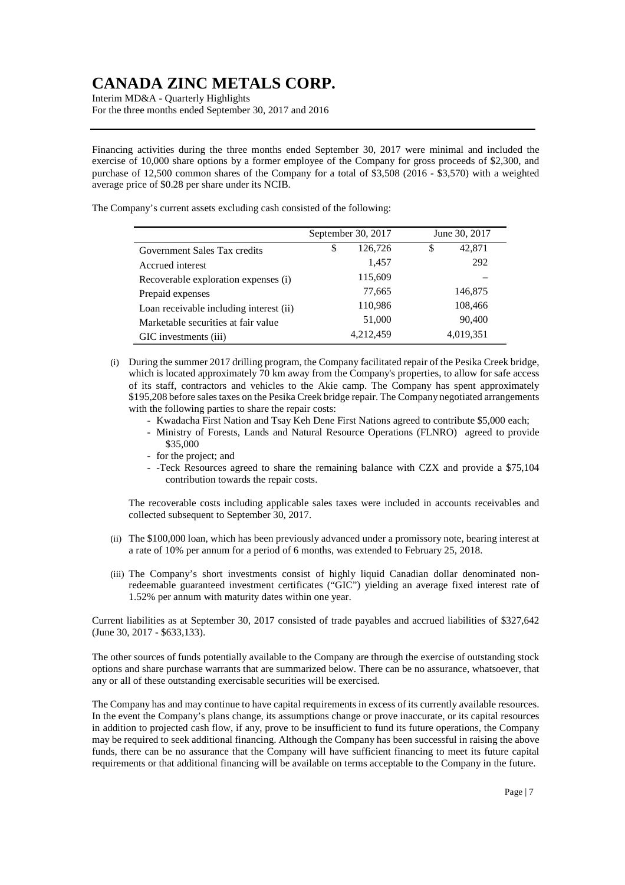Interim MD&A - Quarterly Highlights For the three months ended September 30, 2017 and 2016

Financing activities during the three months ended September 30, 2017 were minimal and included the exercise of 10,000 share options by a former employee of the Company for gross proceeds of \$2,300, and purchase of 12,500 common shares of the Company for a total of \$3,508 (2016 - \$3,570) with a weighted average price of \$0.28 per share under its NCIB.

The Company's current assets excluding cash consisted of the following:

|                                         | September 30, 2017 |           | June 30, 2017 |           |
|-----------------------------------------|--------------------|-----------|---------------|-----------|
| Government Sales Tax credits            | \$                 | 126,726   | \$            | 42,871    |
| Accrued interest                        |                    | 1.457     |               | 292       |
| Recoverable exploration expenses (i)    |                    | 115,609   |               |           |
| Prepaid expenses                        |                    | 77,665    |               | 146,875   |
| Loan receivable including interest (ii) |                    | 110,986   |               | 108,466   |
| Marketable securities at fair value     |                    | 51,000    |               | 90,400    |
| GIC investments (iii)                   |                    | 4,212,459 |               | 4,019,351 |

(i) During the summer 2017 drilling program, the Company facilitated repair of the Pesika Creek bridge, which is located approximately 70 km away from the Company's properties, to allow for safe access of its staff, contractors and vehicles to the Akie camp. The Company has spent approximately \$195,208 before sales taxes on the Pesika Creek bridge repair. The Company negotiated arrangements with the following parties to share the repair costs:

- Kwadacha First Nation and Tsay Keh Dene First Nations agreed to contribute \$5,000 each;
- Ministry of Forests, Lands and Natural Resource Operations (FLNRO) agreed to provide \$35,000
- for the project; and
- -Teck Resources agreed to share the remaining balance with CZX and provide a \$75,104 contribution towards the repair costs.

The recoverable costs including applicable sales taxes were included in accounts receivables and collected subsequent to September 30, 2017.

- (ii) The \$100,000 loan, which has been previously advanced under a promissory note, bearing interest at a rate of 10% per annum for a period of 6 months, was extended to February 25, 2018.
- (iii) The Company's short investments consist of highly liquid Canadian dollar denominated nonredeemable guaranteed investment certificates ("GIC") yielding an average fixed interest rate of 1.52% per annum with maturity dates within one year.

Current liabilities as at September 30, 2017 consisted of trade payables and accrued liabilities of \$327,642 (June 30, 2017 - \$633,133).

The other sources of funds potentially available to the Company are through the exercise of outstanding stock options and share purchase warrants that are summarized below. There can be no assurance, whatsoever, that any or all of these outstanding exercisable securities will be exercised.

The Company has and may continue to have capital requirements in excess of its currently available resources. In the event the Company's plans change, its assumptions change or prove inaccurate, or its capital resources in addition to projected cash flow, if any, prove to be insufficient to fund its future operations, the Company may be required to seek additional financing. Although the Company has been successful in raising the above funds, there can be no assurance that the Company will have sufficient financing to meet its future capital requirements or that additional financing will be available on terms acceptable to the Company in the future.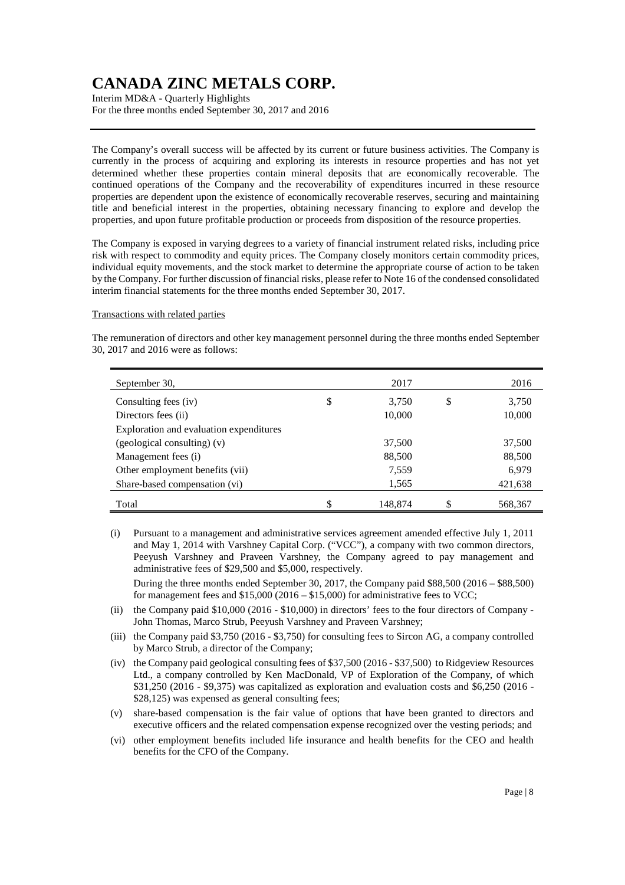Interim MD&A - Quarterly Highlights For the three months ended September 30, 2017 and 2016

The Company's overall success will be affected by its current or future business activities. The Company is currently in the process of acquiring and exploring its interests in resource properties and has not yet determined whether these properties contain mineral deposits that are economically recoverable. The continued operations of the Company and the recoverability of expenditures incurred in these resource properties are dependent upon the existence of economically recoverable reserves, securing and maintaining title and beneficial interest in the properties, obtaining necessary financing to explore and develop the properties, and upon future profitable production or proceeds from disposition of the resource properties.

The Company is exposed in varying degrees to a variety of financial instrument related risks, including price risk with respect to commodity and equity prices. The Company closely monitors certain commodity prices, individual equity movements, and the stock market to determine the appropriate course of action to be taken by the Company. For further discussion of financial risks, please refer to Note 16 of the condensed consolidated interim financial statements for the three months ended September 30, 2017.

#### Transactions with related parties

The remuneration of directors and other key management personnel during the three months ended September 30, 2017 and 2016 were as follows:

| September 30,                           |    | 2017    | 2016          |
|-----------------------------------------|----|---------|---------------|
| Consulting fees (iv)                    | \$ | 3,750   | \$<br>3,750   |
| Directors fees (ii)                     |    | 10,000  | 10,000        |
| Exploration and evaluation expenditures |    |         |               |
| (geological consulting) (v)             |    | 37,500  | 37,500        |
| Management fees (i)                     |    | 88,500  | 88,500        |
| Other employment benefits (vii)         |    | 7,559   | 6,979         |
| Share-based compensation (vi)           |    | 1,565   | 421,638       |
| Total                                   | \$ | 148,874 | \$<br>568,367 |

(i) Pursuant to a management and administrative services agreement amended effective July 1, 2011 and May 1, 2014 with Varshney Capital Corp. ("VCC"), a company with two common directors, Peeyush Varshney and Praveen Varshney, the Company agreed to pay management and administrative fees of \$29,500 and \$5,000, respectively.

During the three months ended September 30, 2017, the Company paid \$88,500 (2016 – \$88,500) for management fees and  $$15,000 (2016 - $15,000)$  for administrative fees to VCC;

- (ii) the Company paid \$10,000 (2016 \$10,000) in directors' fees to the four directors of Company John Thomas, Marco Strub, Peeyush Varshney and Praveen Varshney;
- (iii) the Company paid \$3,750 (2016 \$3,750) for consulting fees to Sircon AG, a company controlled by Marco Strub, a director of the Company;
- (iv) the Company paid geological consulting fees of \$37,500 (2016 \$37,500) to Ridgeview Resources Ltd., a company controlled by Ken MacDonald, VP of Exploration of the Company, of which \$31,250 (2016 - \$9,375) was capitalized as exploration and evaluation costs and \$6,250 (2016 - \$28,125) was expensed as general consulting fees;
- (v) share-based compensation is the fair value of options that have been granted to directors and executive officers and the related compensation expense recognized over the vesting periods; and
- (vi) other employment benefits included life insurance and health benefits for the CEO and health benefits for the CFO of the Company.